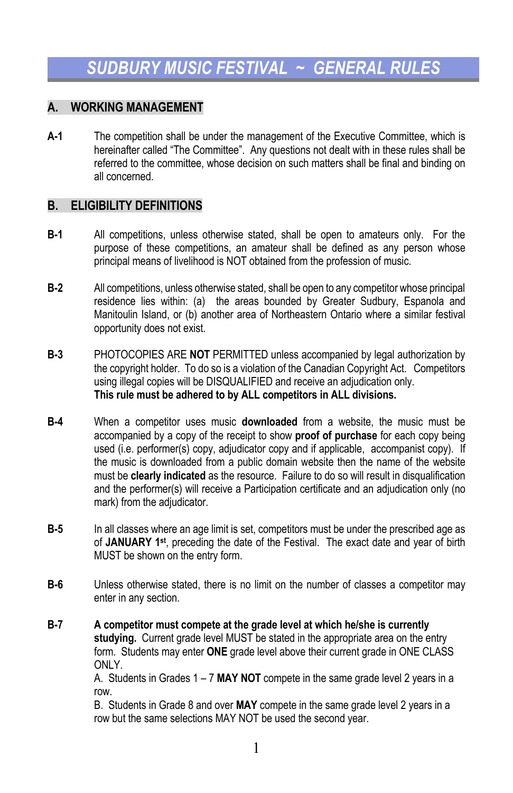## **A. WORKING MANAGEMENT**

**A-1** The competition shall be under the management of the Executive Committee, which is hereinafter called "The Committee". Any questions not dealt with in these rules shall be referred to the committee, whose decision on such matters shall be final and binding on all concerned.

#### **B. ELIGIBILITY DEFINITIONS**

- **B-1** All competitions, unless otherwise stated, shall be open to amateurs only. For the purpose of these competitions, an amateur shall be defined as any person whose principal means of livelihood is NOT obtained from the profession of music.
- **B-2** All competitions, unless otherwise stated, shall be open to any competitor whose principal residence lies within: (a) the areas bounded by Greater Sudbury, Espanola and Manitoulin Island, or (b) another area of Northeastern Ontario where a similar festival opportunity does not exist.
- **B-3** PHOTOCOPIES ARE **NOT** PERMITTED unless accompanied by legal authorization by the copyright holder. To do so is a violation of the Canadian Copyright Act. Competitors using illegal copies will be DISQUALIFIED and receive an adjudication only. **This rule must be adhered to by ALL competitors in ALL divisions.**
- **B-4** When a competitor uses music **downloaded** from a website, the music must be accompanied by a copy of the receipt to show **proof of purchase** for each copy being used (i.e. performer(s) copy, adjudicator copy and if applicable, accompanist copy). If the music is downloaded from a public domain website then the name of the website must be **clearly indicated** as the resource. Failure to do so will result in disqualification and the performer(s) will receive a Participation certificate and an adjudication only (no mark) from the adjudicator.
- **B-5** In all classes where an age limit is set, competitors must be under the prescribed age as of **JANUARY 1st**, preceding the date of the Festival. The exact date and year of birth MUST be shown on the entry form.
- **B-6** Unless otherwise stated, there is no limit on the number of classes a competitor may enter in any section.
- **B-7 A competitor must compete at the grade level at which he/she is currently studying.** Current grade level MUST be stated in the appropriate area on the entry form. Students may enter **ONE** grade level above their current grade in ONE CLASS ONLY.

A. Students in Grades 1 – 7 **MAY NOT** compete in the same grade level 2 years in a row.

B. Students in Grade 8 and over **MAY** compete in the same grade level 2 years in a row but the same selections MAY NOT be used the second year.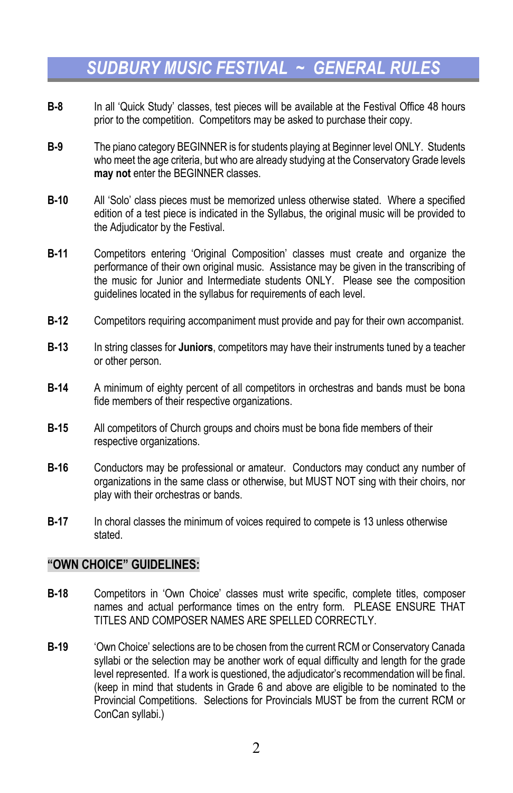- **B-8** In all 'Quick Study' classes, test pieces will be available at the Festival Office 48 hours prior to the competition. Competitors may be asked to purchase their copy.
- **B-9** The piano category BEGINNER is for students playing at Beginner level ONLY. Students who meet the age criteria, but who are already studying at the Conservatory Grade levels **may not** enter the BEGINNER classes.
- **B-10** All 'Solo' class pieces must be memorized unless otherwise stated. Where a specified edition of a test piece is indicated in the Syllabus, the original music will be provided to the Adjudicator by the Festival.
- **B-11** Competitors entering 'Original Composition' classes must create and organize the performance of their own original music. Assistance may be given in the transcribing of the music for Junior and Intermediate students ONLY. Please see the composition guidelines located in the syllabus for requirements of each level.
- **B-12** Competitors requiring accompaniment must provide and pay for their own accompanist.
- **B-13** In string classes for **Juniors**, competitors may have their instruments tuned by a teacher or other person.
- **B-14** A minimum of eighty percent of all competitors in orchestras and bands must be bona fide members of their respective organizations.
- **B-15** All competitors of Church groups and choirs must be bona fide members of their respective organizations.
- **B-16** Conductors may be professional or amateur. Conductors may conduct any number of organizations in the same class or otherwise, but MUST NOT sing with their choirs, nor play with their orchestras or bands.
- **B-17** In choral classes the minimum of voices required to compete is 13 unless otherwise stated.

#### **"OWN CHOICE" GUIDELINES:**

- **B-18** Competitors in 'Own Choice' classes must write specific, complete titles, composer names and actual performance times on the entry form. PLEASE ENSURE THAT TITLES AND COMPOSER NAMES ARE SPELLED CORRECTLY.
- **B-19** 'Own Choice' selections are to be chosen from the current RCM or Conservatory Canada syllabi or the selection may be another work of equal difficulty and length for the grade level represented. If a work is questioned, the adjudicator's recommendation will be final. (keep in mind that students in Grade 6 and above are eligible to be nominated to the Provincial Competitions. Selections for Provincials MUST be from the current RCM or ConCan syllabi.)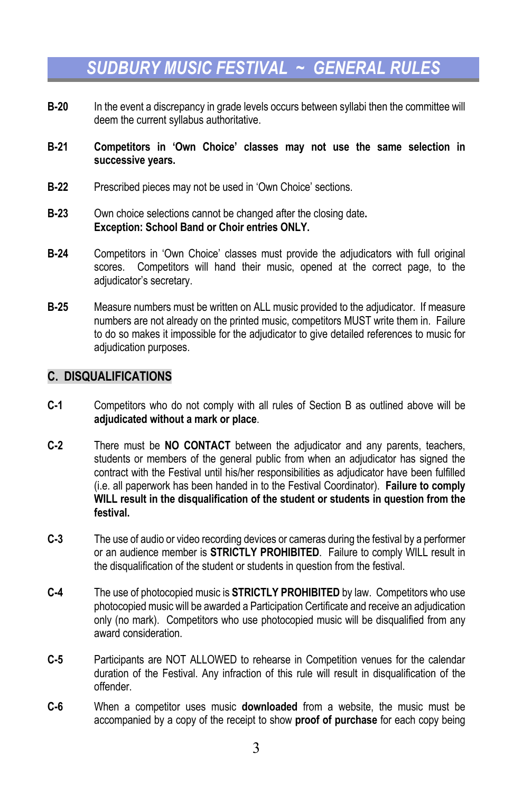- **B-20** In the event a discrepancy in grade levels occurs between syllabi then the committee will deem the current syllabus authoritative.
- **B-21 Competitors in 'Own Choice' classes may not use the same selection in successive years.**
- **B-22** Prescribed pieces may not be used in 'Own Choice' sections.
- **B-23** Own choice selections cannot be changed after the closing date**. Exception: School Band or Choir entries ONLY.**
- **B-24** Competitors in 'Own Choice' classes must provide the adjudicators with full original scores. Competitors will hand their music, opened at the correct page, to the adjudicator's secretary.
- **B-25** Measure numbers must be written on ALL music provided to the adjudicator. If measure numbers are not already on the printed music, competitors MUST write them in. Failure to do so makes it impossible for the adjudicator to give detailed references to music for adjudication purposes.

### **C. DISQUALIFICATIONS**

- **C-1** Competitors who do not comply with all rules of Section B as outlined above will be **adjudicated without a mark or place**.
- **C-2** There must be **NO CONTACT** between the adjudicator and any parents, teachers, students or members of the general public from when an adjudicator has signed the contract with the Festival until his/her responsibilities as adjudicator have been fulfilled (i.e. all paperwork has been handed in to the Festival Coordinator). **Failure to comply WILL result in the disqualification of the student or students in question from the festival.**
- **C-3** The use of audio or video recording devices or cameras during the festival by a performer or an audience member is **STRICTLY PROHIBITED**. Failure to comply WILL result in the disqualification of the student or students in question from the festival.
- **C-4** The use of photocopied music is **STRICTLY PROHIBITED** by law. Competitors who use photocopied music will be awarded a Participation Certificate and receive an adjudication only (no mark). Competitors who use photocopied music will be disqualified from any award consideration.
- **C-5** Participants are NOT ALLOWED to rehearse in Competition venues for the calendar duration of the Festival. Any infraction of this rule will result in disqualification of the offender.
- **C-6** When a competitor uses music **downloaded** from a website, the music must be accompanied by a copy of the receipt to show **proof of purchase** for each copy being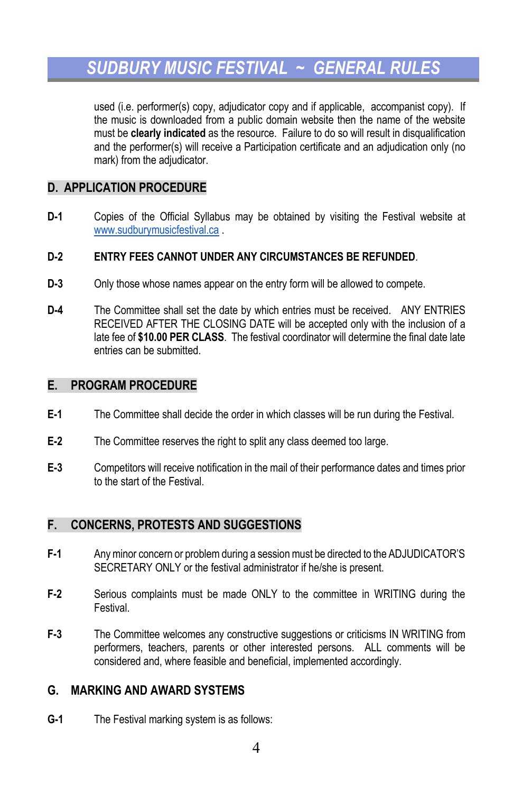used (i.e. performer(s) copy, adjudicator copy and if applicable, accompanist copy). If the music is downloaded from a public domain website then the name of the website must be **clearly indicated** as the resource. Failure to do so will result in disqualification and the performer(s) will receive a Participation certificate and an adjudication only (no mark) from the adjudicator.

### **D. APPLICATION PROCEDURE**

**D-1** Copies of the Official Syllabus may be obtained by visiting the Festival website at www.sudburymusicfestival.ca .

#### **D-2 ENTRY FEES CANNOT UNDER ANY CIRCUMSTANCES BE REFUNDED**.

- **D-3** Only those whose names appear on the entry form will be allowed to compete.
- **D-4** The Committee shall set the date by which entries must be received. ANY ENTRIES RECEIVED AFTER THE CLOSING DATE will be accepted only with the inclusion of a late fee of **\$10.00 PER CLASS**. The festival coordinator will determine the final date late entries can be submitted.

#### **E. PROGRAM PROCEDURE**

- **E-1** The Committee shall decide the order in which classes will be run during the Festival.
- **E-2** The Committee reserves the right to split any class deemed too large.
- **E-3** Competitors will receive notification in the mail of their performance dates and times prior to the start of the Festival.

## **F. CONCERNS, PROTESTS AND SUGGESTIONS**

- **F-1** Any minor concern or problem during a session must be directed to the ADJUDICATOR'S SECRETARY ONLY or the festival administrator if he/she is present.
- **F-2** Serious complaints must be made ONLY to the committee in WRITING during the Festival.
- **F-3** The Committee welcomes any constructive suggestions or criticisms IN WRITING from performers, teachers, parents or other interested persons. ALL comments will be considered and, where feasible and beneficial, implemented accordingly.

## **G. MARKING AND AWARD SYSTEMS**

**G-1** The Festival marking system is as follows: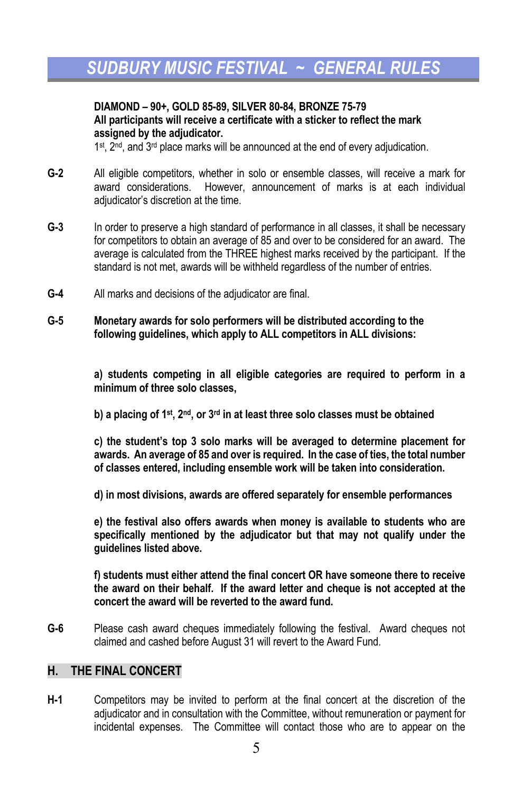#### **DIAMOND – 90+, GOLD 85-89, SILVER 80-84, BRONZE 75-79 All participants will receive a certificate with a sticker to reflect the mark assigned by the adjudicator.**

 $1<sup>st</sup>$ ,  $2<sup>nd</sup>$ , and  $3<sup>rd</sup>$  place marks will be announced at the end of every adjudication.

- **G-2** All eligible competitors, whether in solo or ensemble classes, will receive a mark for award considerations. However, announcement of marks is at each individual adjudicator's discretion at the time.
- **G-3** In order to preserve a high standard of performance in all classes, it shall be necessary for competitors to obtain an average of 85 and over to be considered for an award. The average is calculated from the THREE highest marks received by the participant. If the standard is not met, awards will be withheld regardless of the number of entries.
- **G-4** All marks and decisions of the adjudicator are final.
- **G-5 Monetary awards for solo performers will be distributed according to the following guidelines, which apply to ALL competitors in ALL divisions:**

**a) students competing in all eligible categories are required to perform in a minimum of three solo classes,**

**b) a placing of 1st, 2nd, or 3rd in at least three solo classes must be obtained**

**c) the student's top 3 solo marks will be averaged to determine placement for awards. An average of 85 and over is required. In the case of ties, the total number of classes entered, including ensemble work will be taken into consideration.** 

**d) in most divisions, awards are offered separately for ensemble performances**

**e) the festival also offers awards when money is available to students who are specifically mentioned by the adjudicator but that may not qualify under the guidelines listed above.**

**f) students must either attend the final concert OR have someone there to receive the award on their behalf. If the award letter and cheque is not accepted at the concert the award will be reverted to the award fund.**

**G-6** Please cash award cheques immediately following the festival. Award cheques not claimed and cashed before August 31 will revert to the Award Fund.

### **H. THE FINAL CONCERT**

**H-1** Competitors may be invited to perform at the final concert at the discretion of the adjudicator and in consultation with the Committee, without remuneration or payment for incidental expenses. The Committee will contact those who are to appear on the